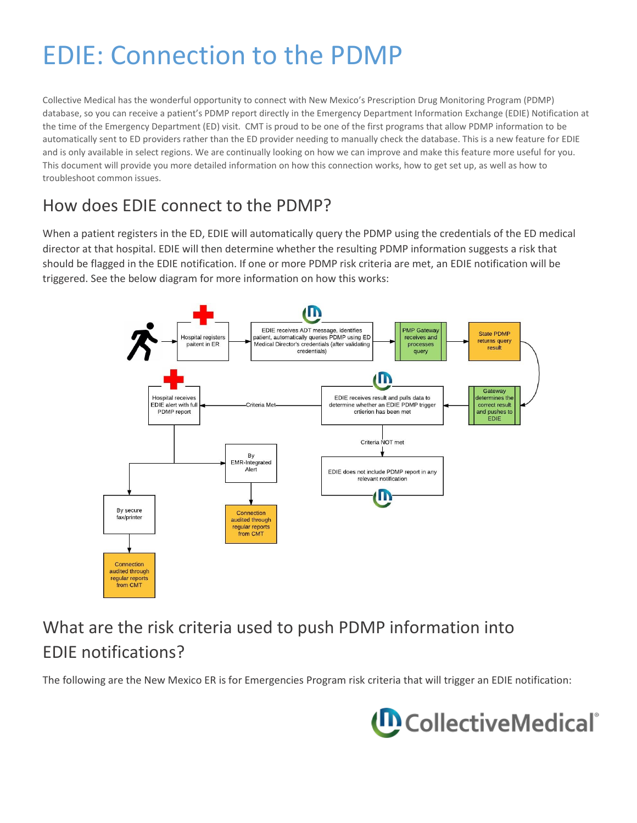# EDIE: Connection to the PDMP

Collective Medical has the wonderful opportunity to connect with New Mexico's Prescription Drug Monitoring Program (PDMP) database, so you can receive a patient's PDMP report directly in the Emergency Department Information Exchange (EDIE) Notification at the time of the Emergency Department (ED) visit. CMT is proud to be one of the first programs that allow PDMP information to be automatically sent to ED providers rather than the ED provider needing to manually check the database. This is a new feature for EDIE and is only available in select regions. We are continually looking on how we can improve and make this feature more useful for you. This document will provide you more detailed information on how this connection works, how to get set up, as well as how to troubleshoot common issues.

#### How does EDIE connect to the PDMP?

When a patient registers in the ED, EDIE will automatically query the PDMP using the credentials of the ED medical director at that hospital. EDIE will then determine whether the resulting PDMP information suggests a risk that should be flagged in the EDIE notification. If one or more PDMP risk criteria are met, an EDIE notification will be triggered. See the below diagram for more information on how this works:



# What are the risk criteria used to push PDMP information into EDIE notifications?

The following are the New Mexico ER is for Emergencies Program risk criteria that will trigger an EDIE notification:

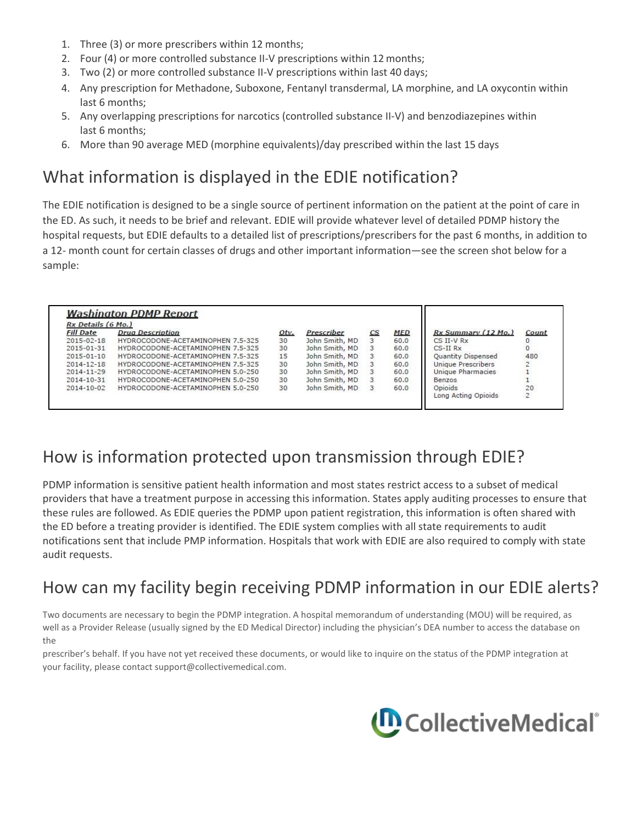- 1. Three (3) or more prescribers within 12 months;
- 2. Four (4) or more controlled substance II-V prescriptions within 12 months;
- 3. Two (2) or more controlled substance II-V prescriptions within last 40 days;
- 4. Any prescription for Methadone, Suboxone, Fentanyl transdermal, LA morphine, and LA oxycontin within last 6 months;
- 5. Any overlapping prescriptions for narcotics (controlled substance II-V) and benzodiazepines within last 6 months;
- 6. More than 90 average MED (morphine equivalents)/day prescribed within the last 15 days

### What information is displayed in the EDIE notification?

The EDIE notification is designed to be a single source of pertinent information on the patient at the point of care in the ED. As such, it needs to be brief and relevant. EDIE will provide whatever level of detailed PDMP history the hospital requests, but EDIE defaults to a detailed list of prescriptions/prescribers for the past 6 months, in addition to a 12- month count for certain classes of drugs and other important information—see the screen shot below for a sample:

| Rx Details (6 Mo.) |                                   |      |                |                          |            |                     |                                        |
|--------------------|-----------------------------------|------|----------------|--------------------------|------------|---------------------|----------------------------------------|
| <b>Fill Date</b>   | <b>Drug Description</b>           | Otv. | Prescriber     | $\mathcal{C}\mathcal{S}$ | <b>MED</b> | Rx Summary (12 Mo.) | Count                                  |
| 2015-02-18         | HYDROCODONE-ACETAMINOPHEN 7.5-325 | 30   | John Smith, MD |                          | 60.0       | $CS$ II-V $Rx$      |                                        |
| 2015-01-31         | HYDROCODONE-ACETAMINOPHEN 7.5-325 | 30   | John Smith, MD | 3                        | 60.0       | $CS$ -II $Rx$       | 0                                      |
| 2015-01-10         | HYDROCODONE-ACETAMINOPHEN 7.5-325 | 15   | John Smith, MD | 3                        | 60.0       | Quantity Dispensed  | 480                                    |
| 2014-12-18         | HYDROCODONE-ACETAMINOPHEN 7.5-325 | 30   | John Smith, MD |                          | 60.0       | Unique Prescribers  |                                        |
| 2014-11-29         | HYDROCODONE-ACETAMINOPHEN 5.0-250 | 30   | John Smith, MD |                          | 60.0       | Unique Pharmacies   |                                        |
| 2014-10-31         | HYDROCODONE-ACETAMINOPHEN 5.0-250 | 30   | John Smith, MD | 3                        | 60.0       | Benzos              |                                        |
| 2014-10-02         | HYDROCODONE-ACETAMINOPHEN 5.0-250 | 30   | John Smith, MD | 3                        | 60.0       | Opioids             |                                        |
|                    |                                   |      |                |                          |            | Long Acting Opioids | $\begin{array}{c} 20 \\ 2 \end{array}$ |

#### How is information protected upon transmission through EDIE?

PDMP information is sensitive patient health information and most states restrict access to a subset of medical providers that have a treatment purpose in accessing this information. States apply auditing processes to ensure that these rules are followed. As EDIE queries the PDMP upon patient registration, this information is often shared with the ED before a treating provider is identified. The EDIE system complies with all state requirements to audit notifications sent that include PMP information. Hospitals that work with EDIE are also required to comply with state audit requests.

#### How can my facility begin receiving PDMP information in our EDIE alerts?

Two documents are necessary to begin the PDMP integration. A hospital memorandum of understanding (MOU) will be required, as well as a Provider Release (usually signed by the ED Medical Director) including the physician's DEA number to access the database on the

prescriber's behalf. If you have not yet received these documents, or would like to inquire on the status of the PDMP integration at your facility, please contact [support@collectivemedical.com.](mailto:support@collectivemedical.com)

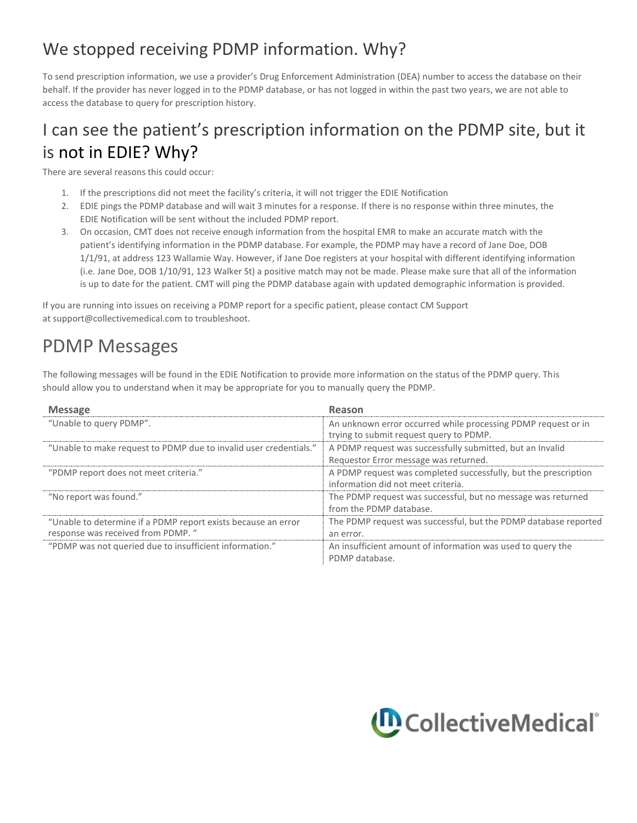## We stopped receiving PDMP information. Why?

To send prescription information, we use a provider's Drug Enforcement Administration (DEA) number to access the database on their behalf. If the provider has never logged in to the PDMP database, or has not logged in within the past two years, we are not able to access the database to query for prescription history.

# I can see the patient's prescription information on the PDMP site, but it is not in EDIE? Why?

There are several reasons this could occur:

- 1. If the prescriptions did not meet the facility's criteria, it will not trigger the EDIE Notification
- 2. EDIE pings the PDMP database and will wait 3 minutes for a response. If there is no response within three minutes, the EDIE Notification will be sent without the included PDMP report.
- 3. On occasion, CMT does not receive enough information from the hospital EMR to make an accurate match with the patient's identifying information in the PDMP database. For example, the PDMP may have a record of Jane Doe, DOB 1/1/91, at address 123 Wallamie Way. However, if Jane Doe registers at your hospital with different identifying information (i.e. Jane Doe, DOB 1/10/91, 123 Walker St) a positive match may not be made. Please make sure that all of the information is up to date for the patient. CMT will ping the PDMP database again with updated demographic information is provided.

If you are running into issues on receiving a PDMP report for a specific patient, please contact CM Support at [support@collectivemedical.com t](mailto:support@collectivemedical.com)o troubleshoot.

## PDMP Messages

The following messages will be found in the EDIE Notification to provide more information on the status of the PDMP query. This should allow you to understand when it may be appropriate for you to manually query the PDMP.

| <b>Message</b>                                                                                      | Reason                                                                                                   |
|-----------------------------------------------------------------------------------------------------|----------------------------------------------------------------------------------------------------------|
| "Unable to query PDMP".                                                                             | An unknown error occurred while processing PDMP request or in<br>trying to submit request query to PDMP. |
| "Unable to make request to PDMP due to invalid user credentials."                                   | A PDMP request was successfully submitted, but an Invalid<br>Requestor Error message was returned.       |
| "PDMP report does not meet criteria."                                                               | A PDMP request was completed successfully, but the prescription<br>information did not meet criteria.    |
| "No report was found."                                                                              | The PDMP request was successful, but no message was returned<br>from the PDMP database.                  |
| "Unable to determine if a PDMP report exists because an error<br>response was received from PDMP. " | The PDMP request was successful, but the PDMP database reported<br>an error.                             |
| "PDMP was not queried due to insufficient information."                                             | An insufficient amount of information was used to query the<br>PDMP database.                            |